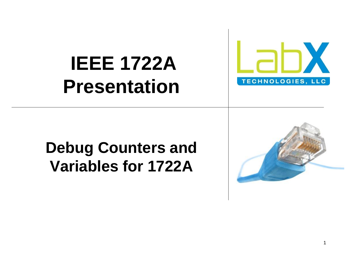

#### **IEEE 1722A Presentation**

#### **Debug Counters and Variables for 1722A**

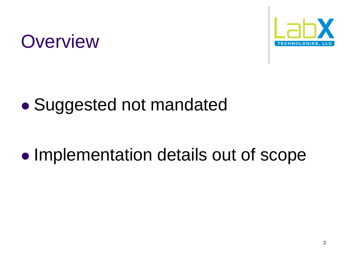

#### **Overview**

#### Suggested not mandated

#### • Implementation details out of scope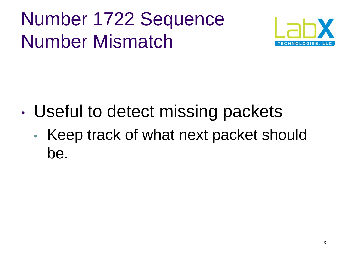### Number 1722 Sequence Number Mismatch



- Useful to detect missing packets
	- Keep track of what next packet should be.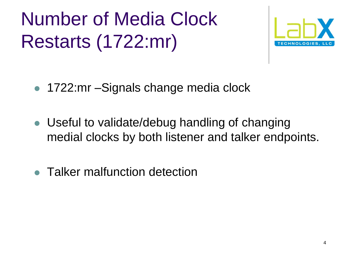Number of Media Clock Restarts (1722:mr)



- 1722:mr Signals change media clock
- Useful to validate/debug handling of changing medial clocks by both listener and talker endpoints.
- Talker malfunction detection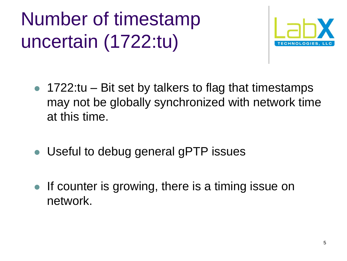## Number of timestamp uncertain (1722:tu)



- $\bullet$  1722:tu Bit set by talkers to flag that timestamps may not be globally synchronized with network time at this time.
- Useful to debug general gPTP issues
- **If counter is growing, there is a timing issue on** network.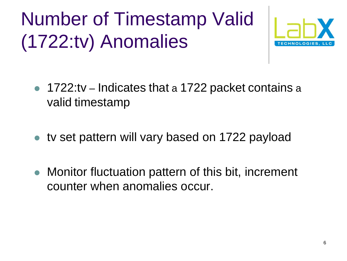# Number of Timestamp Valid (1722:tv) Anomalies



- 1722:tv Indicates that a 1722 packet contains a valid timestamp
- tv set pattern will vary based on 1722 payload
- Monitor fluctuation pattern of this bit, increment counter when anomalies occur.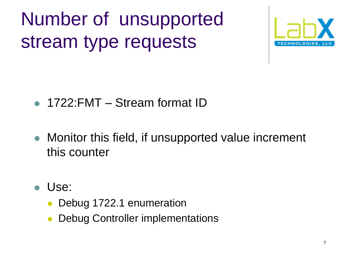Number of unsupported stream type requests



- 1722: FMT Stream format ID
- Monitor this field, if unsupported value increment this counter
- Use:
	- Debug 1722.1 enumeration
	- Debug Controller implementations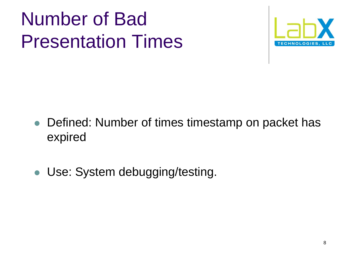#### Number of Bad Presentation Times



- Defined: Number of times timestamp on packet has expired
- Use: System debugging/testing.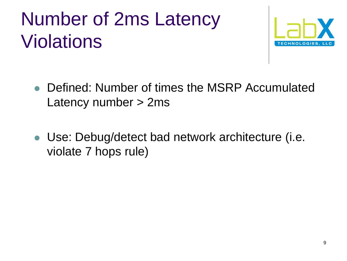### Number of 2ms Latency Violations



- Defined: Number of times the MSRP Accumulated Latency number > 2ms
- Use: Debug/detect bad network architecture (i.e. violate 7 hops rule)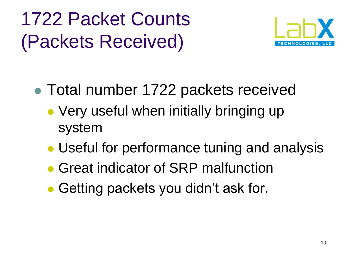# 1722 Packet Counts (Packets Received)



- Total number 1722 packets received
	- Very useful when initially bringing up system
	- Useful for performance tuning and analysis
	- **Great indicator of SRP malfunction**
	- Getting packets you didn't ask for.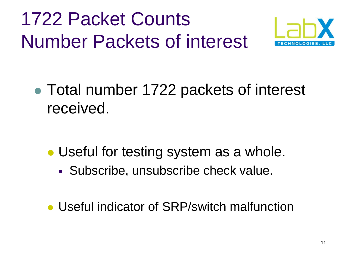## 1722 Packet Counts Number Packets of interest



• Total number 1722 packets of interest received.

- Useful for testing system as a whole.
	- Subscribe, unsubscribe check value.
- Useful indicator of SRP/switch malfunction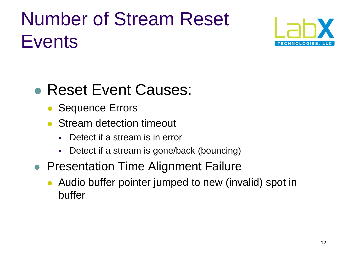## Number of Stream Reset **Events**



#### Reset Event Causes:

- Sequence Errors
- Stream detection timeout
	- Detect if a stream is in error
	- Detect if a stream is gone/back (bouncing)
- Presentation Time Alignment Failure
	- Audio buffer pointer jumped to new (invalid) spot in buffer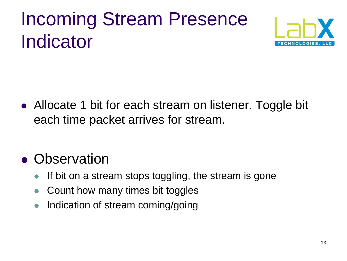## Incoming Stream Presence Indicator



• Allocate 1 bit for each stream on listener. Toggle bit each time packet arrives for stream.

#### • Observation

- If bit on a stream stops toggling, the stream is gone
- Count how many times bit toggles
- Indication of stream coming/going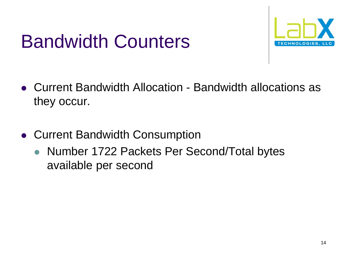#### Bandwidth Counters



- Current Bandwidth Allocation Bandwidth allocations as they occur.
- Current Bandwidth Consumption
	- Number 1722 Packets Per Second/Total bytes available per second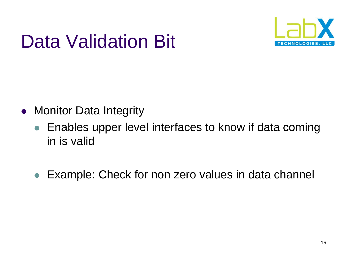# Data Validation Bit



- Monitor Data Integrity
	- Enables upper level interfaces to know if data coming in is valid
	- Example: Check for non zero values in data channel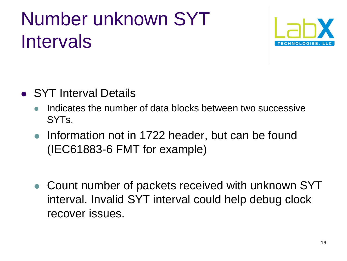### Number unknown SYT Intervals



- SYT Interval Details
	- Indicates the number of data blocks between two successive SYTs.
	- Information not in 1722 header, but can be found (IEC61883-6 FMT for example)
	- Count number of packets received with unknown SYT interval. Invalid SYT interval could help debug clock recover issues.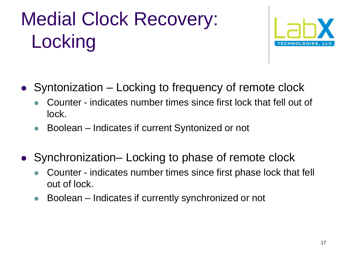# Medial Clock Recovery: **Locking**



- Syntonization Locking to frequency of remote clock
	- Counter indicates number times since first lock that fell out of lock.
	- Boolean Indicates if current Syntonized or not
- Synchronization– Locking to phase of remote clock
	- Counter indicates number times since first phase lock that fell out of lock.
	- Boolean Indicates if currently synchronized or not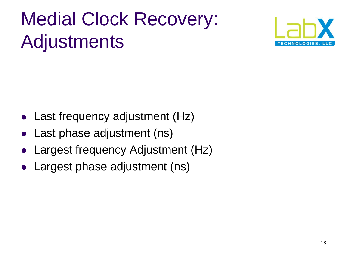# Medial Clock Recovery: Adjustments



- Last frequency adjustment (Hz)
- Last phase adjustment (ns)
- Largest frequency Adjustment (Hz)
- Largest phase adjustment (ns)